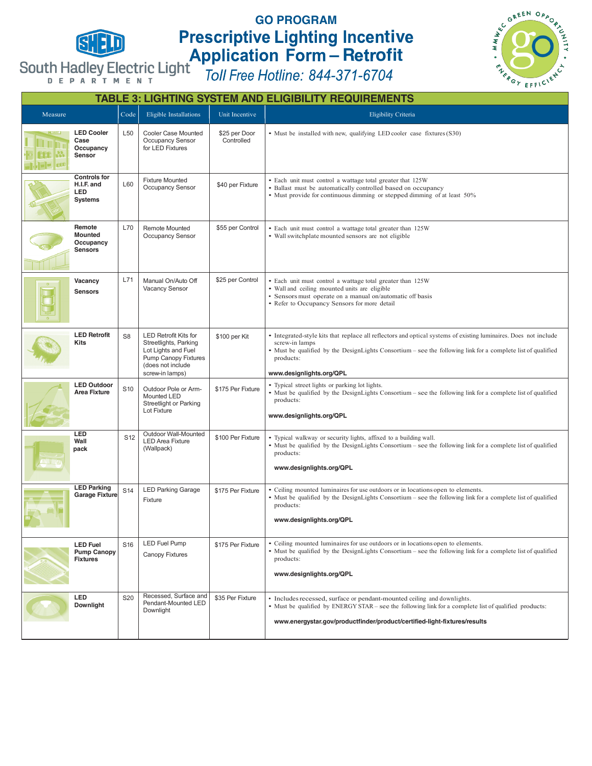

## **GO PROGRAM tiv – R ofit**



| <b>TABLE 3: LIGHTING SYSTEM AND ELIGIBILITY REQUIREMENTS</b> |                                                            |                 |                                                                                                                                              |                             |                                                                                                                                                                                                                                                                                             |  |  |  |
|--------------------------------------------------------------|------------------------------------------------------------|-----------------|----------------------------------------------------------------------------------------------------------------------------------------------|-----------------------------|---------------------------------------------------------------------------------------------------------------------------------------------------------------------------------------------------------------------------------------------------------------------------------------------|--|--|--|
| Measure                                                      |                                                            | Code            | Eligible Installations                                                                                                                       | Unit Incentive              | Eligibility Criteria                                                                                                                                                                                                                                                                        |  |  |  |
|                                                              | <b>LED Cooler</b><br>Case<br>Occupancy<br>Sensor           | L50             | Cooler Case Mounted<br>Occupancy Sensor<br>for LED Fixtures                                                                                  | \$25 per Door<br>Controlled | • Must be installed with new, qualifying LED cooler case fixtures (S30)                                                                                                                                                                                                                     |  |  |  |
|                                                              | <b>Controls for</b><br>H.I.F. and<br>LED<br><b>Systems</b> | L60             | <b>Fixture Mounted</b><br>Occupancy Sensor                                                                                                   | \$40 per Fixture            | • Each unit must control a wattage total greater that 125W<br>· Ballast must be automatically controlled based on occupancy<br>• Must provide for continuous dimming or stepped dimming of at least 50%                                                                                     |  |  |  |
|                                                              | Remote<br><b>Mounted</b><br>Occupancy<br><b>Sensors</b>    | L70             | Remote Mounted<br>Occupancy Sensor                                                                                                           | \$55 per Control            | • Each unit must control a wattage total greater than 125W<br>• Wall switchplate mounted sensors are not eligible                                                                                                                                                                           |  |  |  |
|                                                              | Vacancy<br><b>Sensors</b>                                  | L71             | Manual On/Auto Off<br>Vacancy Sensor                                                                                                         | \$25 per Control            | • Each unit must control a wattage total greater than 125W<br>• Wall and ceiling mounted units are eligible<br>• Sensors must operate on a manual on/automatic off basis<br>• Refer to Occupancy Sensors for more detail                                                                    |  |  |  |
|                                                              | <b>LED Retrofit</b><br>Kits                                | S <sub>8</sub>  | <b>LED Retrofit Kits for</b><br>Streetlights, Parking<br>Lot Lights and Fuel<br>Pump Canopy Fixtures<br>(does not include<br>screw-in lamps) | \$100 per Kit               | • Integrated-style kits that replace all reflectors and optical systems of existing luminaires. Does not include<br>screw-in lamps<br>• Must be qualified by the DesignLights Consortium – see the following link for a complete list of qualified<br>products:<br>www.designlights.org/QPL |  |  |  |
|                                                              | <b>LED Outdoor</b><br><b>Area Fixture</b>                  | S <sub>10</sub> | Outdoor Pole or Arm-<br>Mounted LED<br>Streetlight or Parking<br>Lot Fixture                                                                 | \$175 Per Fixture           | • Typical street lights or parking lot lights.<br>• Must be qualified by the DesignLights Consortium - see the following link for a complete list of qualified<br>products:<br>www.designlights.org/QPL                                                                                     |  |  |  |
|                                                              | LED<br>Wall<br>pack                                        | S12             | Outdoor Wall-Mounted<br><b>LED Area Fixture</b><br>(Wallpack)                                                                                | \$100 Per Fixture           | • Typical walkway or security lights, affixed to a building wall.<br>• Must be qualified by the DesignLights Consortium – see the following link for a complete list of qualified<br>products:<br>www.designlights.org/QPL                                                                  |  |  |  |
|                                                              | <b>LED Parking</b><br><b>Garage Fixture</b>                | S <sub>14</sub> | <b>LED Parking Garage</b><br>Fixture                                                                                                         | \$175 Per Fixture           | • Ceiling mounted luminaires for use outdoors or in locations open to elements.<br>• Must be qualified by the DesignLights Consortium – see the following link for a complete list of qualified<br>products:<br>www.designlights.org/QPL                                                    |  |  |  |
|                                                              | <b>LED Fuel</b><br><b>Pump Canopy</b><br><b>Fixtures</b>   | S <sub>16</sub> | LED Fuel Pump<br>Canopy Fixtures                                                                                                             | \$175 Per Fixture           | • Ceiling mounted luminaires for use outdoors or in locations open to elements.<br>• Must be qualified by the DesignLights Consortium – see the following link for a complete list of qualified<br>products:<br>www.designlights.org/QPL                                                    |  |  |  |
|                                                              | LED<br>Downlight                                           | S20             | Recessed, Surface and<br>Pendant-Mounted LED<br>Downlight                                                                                    | \$35 Per Fixture            | • Includes recessed, surface or pendant-mounted ceiling and downlights.<br>• Must be qualified by ENERGY STAR – see the following link for a complete list of qualified products:<br>www.energystar.gov/productfinder/product/certified-light-fixtures/results                              |  |  |  |